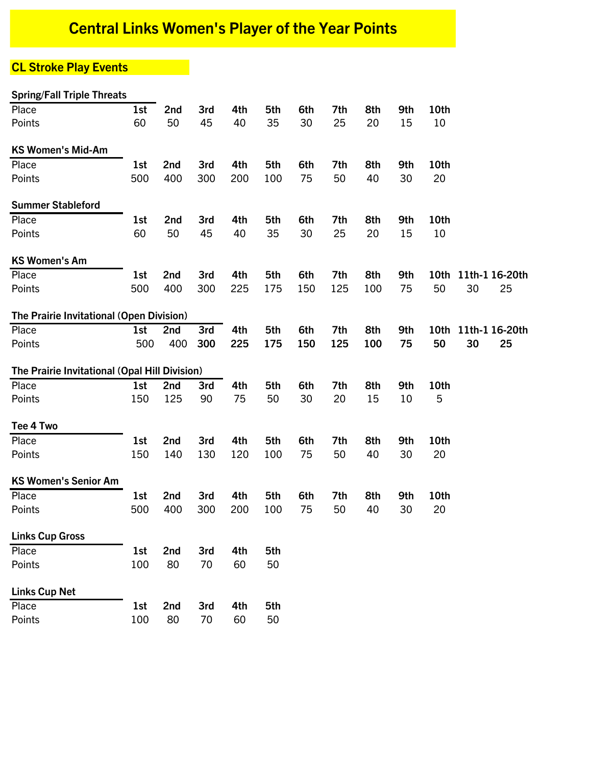# **Central Links Women's Player of the Year Points**

# **CL Stroke Play Events**

| <b>Spring/Fall Triple Threats</b>             |     |     |     |     |     |     |     |     |     |      |                     |  |
|-----------------------------------------------|-----|-----|-----|-----|-----|-----|-----|-----|-----|------|---------------------|--|
| Place                                         | 1st | 2nd | 3rd | 4th | 5th | 6th | 7th | 8th | 9th | 10th |                     |  |
| Points                                        | 60  | 50  | 45  | 40  | 35  | 30  | 25  | 20  | 15  | 10   |                     |  |
| <b>KS Women's Mid-Am</b>                      |     |     |     |     |     |     |     |     |     |      |                     |  |
| Place                                         | 1st | 2nd | 3rd | 4th | 5th | 6th | 7th | 8th | 9th | 10th |                     |  |
| Points                                        | 500 | 400 | 300 | 200 | 100 | 75  | 50  | 40  | 30  | 20   |                     |  |
| <b>Summer Stableford</b>                      |     |     |     |     |     |     |     |     |     |      |                     |  |
| Place                                         | 1st | 2nd | 3rd | 4th | 5th | 6th | 7th | 8th | 9th | 10th |                     |  |
| Points                                        | 60  | 50  | 45  | 40  | 35  | 30  | 25  | 20  | 15  | 10   |                     |  |
| <b>KS Women's Am</b>                          |     |     |     |     |     |     |     |     |     |      |                     |  |
| Place                                         | 1st | 2nd | 3rd | 4th | 5th | 6th | 7th | 8th | 9th |      | 10th 11th-1 16-20th |  |
| Points                                        | 500 | 400 | 300 | 225 | 175 | 150 | 125 | 100 | 75  | 50   | 30<br>25            |  |
| The Prairie Invitational (Open Division)      |     |     |     |     |     |     |     |     |     |      |                     |  |
| Place                                         | 1st | 2nd | 3rd | 4th | 5th | 6th | 7th | 8th | 9th | 10th | 11th-1 16-20th      |  |
| Points                                        | 500 | 400 | 300 | 225 | 175 | 150 | 125 | 100 | 75  | 50   | 30<br>25            |  |
| The Prairie Invitational (Opal Hill Division) |     |     |     |     |     |     |     |     |     |      |                     |  |
| Place                                         | 1st | 2nd | 3rd | 4th | 5th | 6th | 7th | 8th | 9th | 10th |                     |  |
| Points                                        | 150 | 125 | 90  | 75  | 50  | 30  | 20  | 15  | 10  | 5    |                     |  |
| Tee 4 Two                                     |     |     |     |     |     |     |     |     |     |      |                     |  |
| Place                                         | 1st | 2nd | 3rd | 4th | 5th | 6th | 7th | 8th | 9th | 10th |                     |  |
| Points                                        | 150 | 140 | 130 | 120 | 100 | 75  | 50  | 40  | 30  | 20   |                     |  |
| <b>KS Women's Senior Am</b>                   |     |     |     |     |     |     |     |     |     |      |                     |  |
| Place                                         | 1st | 2nd | 3rd | 4th | 5th | 6th | 7th | 8th | 9th | 10th |                     |  |
| Points                                        | 500 | 400 | 300 | 200 | 100 | 75  | 50  | 40  | 30  | 20   |                     |  |
| <b>Links Cup Gross</b>                        |     |     |     |     |     |     |     |     |     |      |                     |  |
| Place                                         | 1st | 2nd | 3rd | 4th | 5th |     |     |     |     |      |                     |  |
| Points                                        | 100 | 80  | 70  | 60  | 50  |     |     |     |     |      |                     |  |
| <b>Links Cup Net</b>                          |     |     |     |     |     |     |     |     |     |      |                     |  |
| Place                                         | 1st | 2nd | 3rd | 4th | 5th |     |     |     |     |      |                     |  |
| Points                                        | 100 | 80  | 70  | 60  | 50  |     |     |     |     |      |                     |  |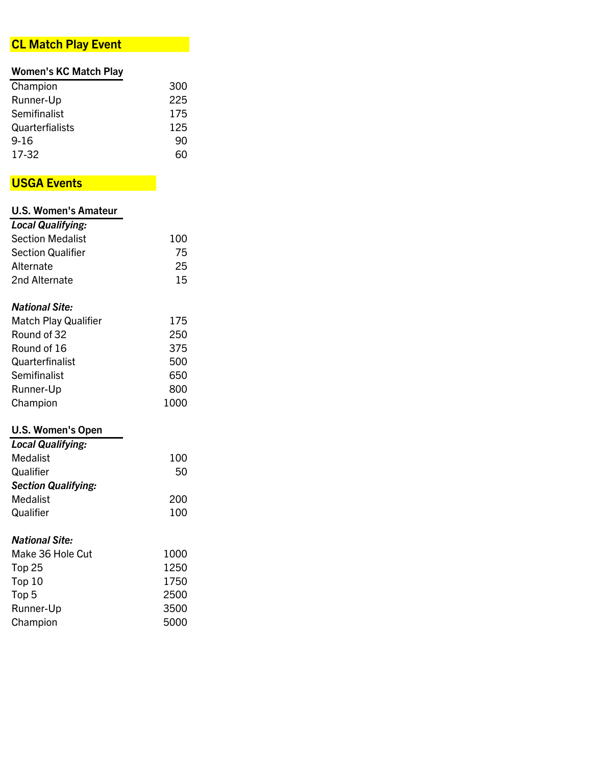### **CL Match Play Event**

### **Women's KC Match Play**

| Champion        | 300 |
|-----------------|-----|
| Runner-Up       | 225 |
| Semifinalist    | 175 |
| Quarterfialists | 125 |
| $9 - 16$        | 90  |
| 17-32           | 60  |
|                 |     |

# **USGA Events**

| <b>U.S. Women's Amateur</b> |      |
|-----------------------------|------|
| <b>Local Qualifying:</b>    |      |
| <b>Section Medalist</b>     | 100  |
| <b>Section Qualifier</b>    | 75   |
| Alternate                   | 25   |
| 2nd Alternate               | 15   |
| <b>National Site:</b>       |      |
| Match Play Qualifier        | 175  |
| Round of 32                 | 250  |
| Round of 16                 | 375  |
| Quarterfinalist             | 500  |
| Semifinalist                | 650  |
| Runner-Up                   | 800  |
| Champion                    | 1000 |
| <b>U.S. Women's Open</b>    |      |
| <b>Local Qualifying:</b>    |      |
| Medalist                    | 100  |
| Qualifier                   | 50   |
| <b>Section Qualifying:</b>  |      |
| <b>Medalist</b>             | 200  |
| Qualifier                   | 100  |
| <b>National Site:</b>       |      |
| Make 36 Hole Cut            | 1000 |
| Top <sub>25</sub>           | 1250 |
| Top 10                      | 1750 |
| Top <sub>5</sub>            | 2500 |
| Runner-Up                   | 3500 |

Runner-Up 3500<br>Champion 5000

Champion